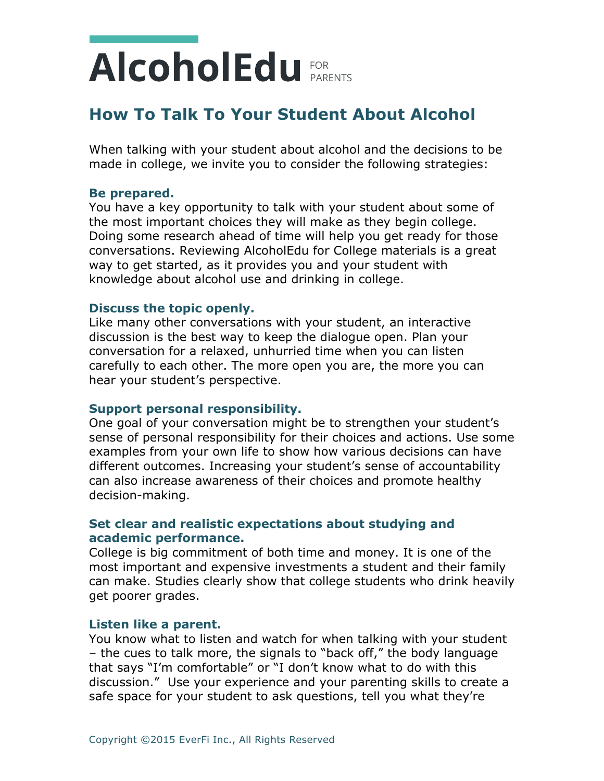## **How To Talk To Your Student About Alcohol**

When talking with your student about alcohol and the decisions to be made in college, we invite you to consider the following strategies:

#### **Be prepared.**

You have a key opportunity to talk with your student about some of the most important choices they will make as they begin college. Doing some research ahead of time will help you get ready for those conversations. Reviewing AlcoholEdu for College materials is a great way to get started, as it provides you and your student with knowledge about alcohol use and drinking in college.

#### **Discuss the topic openly.**

Like many other conversations with your student, an interactive discussion is the best way to keep the dialogue open. Plan your conversation for a relaxed, unhurried time when you can listen carefully to each other. The more open you are, the more you can hear your student's perspective.

#### **Support personal responsibility.**

One goal of your conversation might be to strengthen your student's sense of personal responsibility for their choices and actions. Use some examples from your own life to show how various decisions can have different outcomes. Increasing your student's sense of accountability can also increase awareness of their choices and promote healthy decision-making.

### **Set clear and realistic expectations about studying and academic performance.**

College is big commitment of both time and money. It is one of the most important and expensive investments a student and their family can make. Studies clearly show that college students who drink heavily get poorer grades.

#### **Listen like a parent.**

You know what to listen and watch for when talking with your student – the cues to talk more, the signals to "back off," the body language that says "I'm comfortable" or "I don't know what to do with this discussion." Use your experience and your parenting skills to create a safe space for your student to ask questions, tell you what they're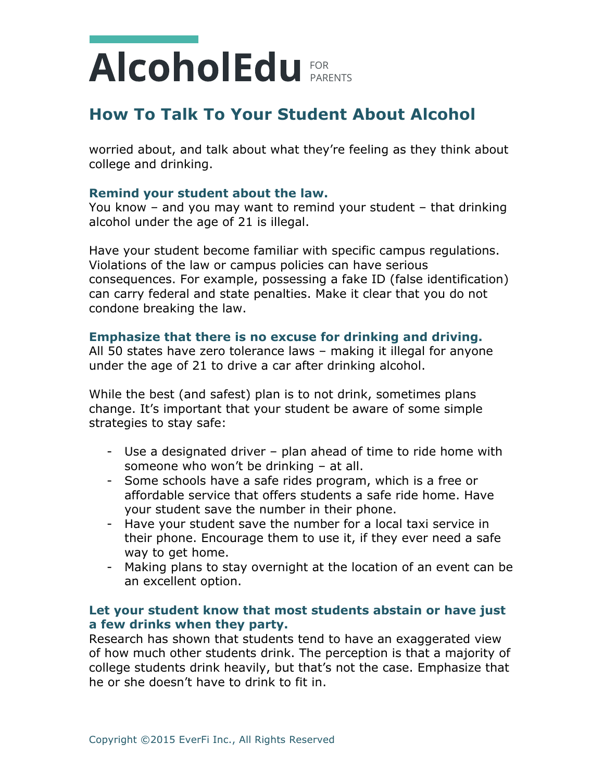## **How To Talk To Your Student About Alcohol**

worried about, and talk about what they're feeling as they think about college and drinking.

#### **Remind your student about the law.**

You know – and you may want to remind your student – that drinking alcohol under the age of 21 is illegal.

Have your student become familiar with specific campus regulations. Violations of the law or campus policies can have serious consequences. For example, possessing a fake ID (false identification) can carry federal and state penalties. Make it clear that you do not condone breaking the law.

### **Emphasize that there is no excuse for drinking and driving.**

All 50 states have zero tolerance laws – making it illegal for anyone under the age of 21 to drive a car after drinking alcohol.

While the best (and safest) plan is to not drink, sometimes plans change. It's important that your student be aware of some simple strategies to stay safe:

- Use a designated driver plan ahead of time to ride home with someone who won't be drinking – at all.
- Some schools have a safe rides program, which is a free or affordable service that offers students a safe ride home. Have your student save the number in their phone.
- Have your student save the number for a local taxi service in their phone. Encourage them to use it, if they ever need a safe way to get home.
- Making plans to stay overnight at the location of an event can be an excellent option.

#### **Let your student know that most students abstain or have just a few drinks when they party.**

Research has shown that students tend to have an exaggerated view of how much other students drink. The perception is that a majority of college students drink heavily, but that's not the case. Emphasize that he or she doesn't have to drink to fit in.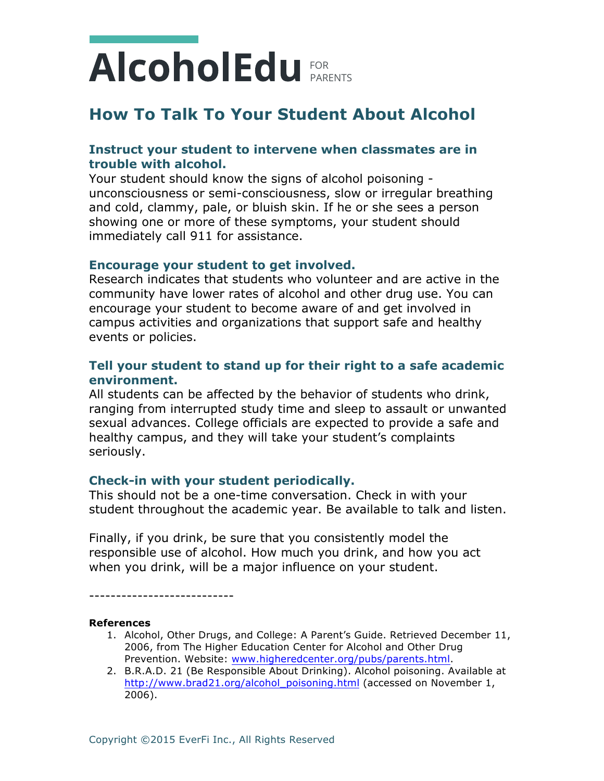## **How To Talk To Your Student About Alcohol**

### **Instruct your student to intervene when classmates are in trouble with alcohol.**

Your student should know the signs of alcohol poisoning unconsciousness or semi-consciousness, slow or irregular breathing and cold, clammy, pale, or bluish skin. If he or she sees a person showing one or more of these symptoms, your student should immediately call 911 for assistance.

#### **Encourage your student to get involved.**

Research indicates that students who volunteer and are active in the community have lower rates of alcohol and other drug use. You can encourage your student to become aware of and get involved in campus activities and organizations that support safe and healthy events or policies.

### **Tell your student to stand up for their right to a safe academic environment.**

All students can be affected by the behavior of students who drink, ranging from interrupted study time and sleep to assault or unwanted sexual advances. College officials are expected to provide a safe and healthy campus, and they will take your student's complaints seriously.

### **Check-in with your student periodically.**

This should not be a one-time conversation. Check in with your student throughout the academic year. Be available to talk and listen.

Finally, if you drink, be sure that you consistently model the responsible use of alcohol. How much you drink, and how you act when you drink, will be a major influence on your student.

---------------------------

#### **References**

- 1. Alcohol, Other Drugs, and College: A Parent's Guide. Retrieved December 11, 2006, from The Higher Education Center for Alcohol and Other Drug Prevention. Website: www.higheredcenter.org/pubs/parents.html.
- 2. B.R.A.D. 21 (Be Responsible About Drinking). Alcohol poisoning. Available at http://www.brad21.org/alcohol\_poisoning.html (accessed on November 1, 2006).